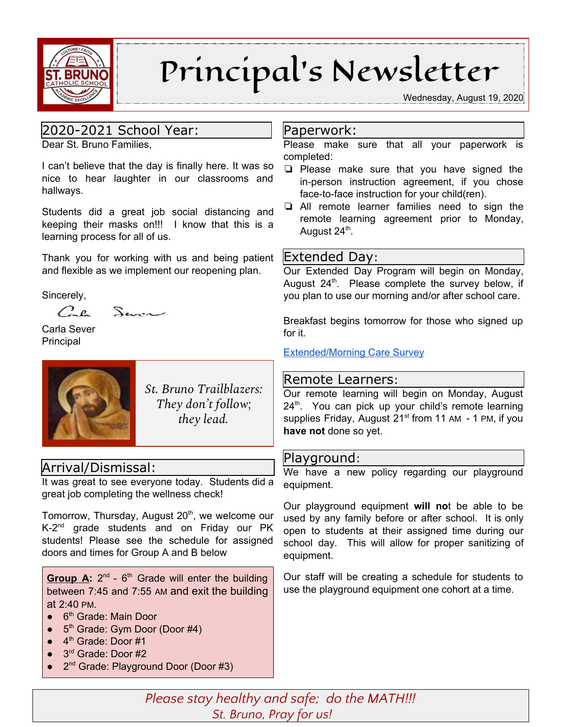

# Principal's Newsletter

Wednesday, August 19, 2020

## 2020-2021 School Year:

Dear St. Bruno Families,

I can't believe that the day is finally here. It was so nice to hear laughter in our classrooms and hallways.

Students did a great job social distancing and keeping their masks on!!! I know that this is a learning process for all of us.

Thank you for working with us and being patient and flexible as we implement our reopening plan.

Sincerely,

 $C_{\cdot}$ e  $S_{\text{max}}$ 

Carla Sever Principal



*St. Bruno Trailblazers: They don't follow; they lead.*

## Arrival/Dismissal:

It was great to see everyone today. Students did a great job completing the wellness check!

Tomorrow, Thursday, August 20<sup>th</sup>, we welcome our K-2<sup>nd</sup> grade students and on Friday our PK students! Please see the schedule for assigned doors and times for Group A and B below

Group A: 2<sup>nd</sup> - 6<sup>th</sup> Grade will enter the building between 7:45 and 7:55 AM and exit the building at 2:40 PM.

- 6<sup>th</sup> Grade: Main Door
- 5<sup>th</sup> Grade: Gym Door (Door #4)
- $\bullet$  4<sup>th</sup> Grade: Door #1
- 3<sup>rd</sup> Grade: Door #2
- 2<sup>nd</sup> Grade: Playground Door (Door #3)

#### Paperwork:

Please make sure that all your paperwork is completed:

- ❏ Please make sure that you have signed the in-person instruction agreement, if you chose face-to-face instruction for your child(ren).
- ❏ All remote learner families need to sign the remote learning agreement prior to Monday, August 24<sup>th</sup>.

#### Extended Day:

Our Extended Day Program will begin on Monday, August 24<sup>th</sup>. Please complete the survey below, if you plan to use our morning and/or after school care.

Breakfast begins tomorrow for those who signed up for it.

[Extended/Morning](https://docs.google.com/forms/d/e/1FAIpQLSeOQQ4tsM5lnx90rZx4vXEgL6qTspHxn48S-dadb7s7mHn1SA/viewform?usp=pp_url) Care Survey

### Remote Learners:

Our remote learning will begin on Monday, August 24<sup>th</sup>. You can pick up your child's remote learning supplies Friday, August 21<sup>st</sup> from 11 AM - 1 PM, if you **have not** done so yet.

### Playground:

We have a new policy regarding our playground equipment.

Our playground equipment **will no**t be able to be used by any family before or after school. It is only open to students at their assigned time during our school day. This will allow for proper sanitizing of equipment.

Our staff will be creating a schedule for students to use the playground equipment one cohort at a time.

*Please stay healthy and safe; do the MATH!!! St. Bruno, Pray for us!*